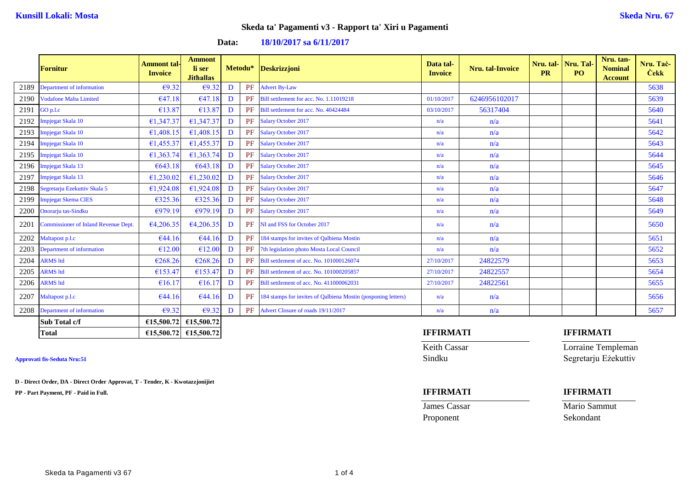| Data: |  | 18/10/2017 sa 6/11/2017 |
|-------|--|-------------------------|
|-------|--|-------------------------|

|      | <b>Fornitur</b>                             | <b>Ammont</b> tal-<br><b>Invoice</b> | <b>Ammont</b><br>li ser<br><b>Jithallas</b> |   |          | Metodu* Deskrizzjoni                                          | Data tal-<br><b>Invoice</b> | <b>Nru.</b> tal-Invoice | Nru. tal- Nru. Tal-<br><b>PR</b> | PO.              | Nru. tan-<br><b>Nominal</b><br><b>Account</b> | Nru. Tač-<br><b>Cekk</b> |
|------|---------------------------------------------|--------------------------------------|---------------------------------------------|---|----------|---------------------------------------------------------------|-----------------------------|-------------------------|----------------------------------|------------------|-----------------------------------------------|--------------------------|
| 2189 | Department of information                   | €9.32                                | €9.32                                       | D | PF       | <b>Advert By-Law</b>                                          |                             |                         |                                  |                  |                                               | 5638                     |
| 2190 | <b>Vodafone Malta Limited</b>               | €47.18                               | €47.18                                      | D | PF       | Bill settlement for acc. No. 1.11019218                       | 01/10/2017                  | 6246956102017           |                                  |                  |                                               | 5639                     |
| 2191 | GO p.l.c                                    | €13.87                               | €13.87                                      | D | PF       | Bill settlement for acc. No. 40424484                         | 03/10/2017                  | 56317404                |                                  |                  |                                               | 5640                     |
| 2192 | mpjegat Skala 10                            | €1,347.37                            | €1,347.37                                   | D | PF       | <b>Salary October 2017</b>                                    | n/a                         | n/a                     |                                  |                  |                                               | 5641                     |
| 2193 | Impjegat Skala 10                           | €1,408.15                            | €1,408.15                                   | D | $\rm PF$ | <b>Salary October 2017</b>                                    | n/a                         | n/a                     |                                  |                  |                                               | 5642                     |
| 2194 | Impjegat Skala 10                           | €1,455.37                            | €1,455.37                                   | D | PF       | <b>Salary October 2017</b>                                    | n/a                         | n/a                     |                                  |                  |                                               | 5643                     |
| 2195 | Impjegat Skala 10                           | €1,363.74                            | €1,363.74                                   | D | PF       | <b>Salary October 2017</b>                                    | n/a                         | n/a                     |                                  |                  |                                               | 5644                     |
| 2196 | Impjegat Skala 13                           | €643.18                              | €643.18                                     | D | PF       | <b>Salary October 2017</b>                                    | n/a                         | n/a                     |                                  |                  |                                               | 5645                     |
| 2197 | Impjegat Skala 13                           | €1,230.02                            | €1,230.02                                   | D | PF       | <b>Salary October 2017</b>                                    | n/a                         | n/a                     |                                  |                  |                                               | 5646                     |
| 2198 | Segretarju Ezekuttiv Skala 5                | €1,924.08                            | €1,924.08                                   | D | PF       | <b>Salary October 2017</b>                                    | n/a                         | n/a                     |                                  |                  |                                               | 5647                     |
| 2199 | Impjegat Skema CIES                         | €325.36                              | €325.36                                     | D | PF       | <b>Salary October 2017</b>                                    | n/a                         | n/a                     |                                  |                  |                                               | 5648                     |
| 2200 | Onorarju tas-Sindku                         | €979.19                              | €979.19                                     | D | PF       | <b>Salary October 2017</b>                                    | n/a                         | n/a                     |                                  |                  |                                               | 5649                     |
| 2201 | <b>Commissioner of Inland Revenue Dept.</b> | €4,206.35                            | €4,206.35                                   | D | PF       | NI and FSS for October 2017                                   | n/a                         | n/a                     |                                  |                  |                                               | 5650                     |
| 2202 | Maltapost p.l.c                             | €44.16                               | €44.16                                      | D | PF       | 184 stamps for invites of Qalbiena Mostin                     | n/a                         | n/a                     |                                  |                  |                                               | 5651                     |
| 2203 | Department of information                   | €12.00                               | €12.00                                      | D | PF       | 7th legislation photo Mosta Local Council                     | n/a                         | n/a                     |                                  |                  |                                               | 5652                     |
| 2204 | <b>ARMS</b> ltd                             | €268.26                              | €268.26                                     | D | PF       | Bill settlement of acc. No. 101000126074                      | 27/10/2017                  | 24822579                |                                  |                  |                                               | 5653                     |
| 2205 | <b>ARMS</b> ltd                             | €153.47                              | €153.47                                     | D | PF       | Bill settlement of acc. No. 101000205857                      | 27/10/2017                  | 24822557                |                                  |                  |                                               | 5654                     |
| 2206 | <b>RMS</b> ltd                              | €16.17                               | €16.17                                      | D | PF       | Bill settlement of acc. No. 411000062031                      | 27/10/2017                  | 24822561                |                                  |                  |                                               | 5655                     |
| 2207 | Maltapost p.l.c                             | €44.16                               | €44.16                                      | D | PF       | 184 stamps for invites of Qalbiena Mostin (posponing letters) | n/a                         | n/a                     |                                  |                  |                                               | 5656                     |
| 2208 | Department of information                   | €9.32                                | €9.32                                       | D | PF       | Advert Closure of roads 19/11/2017                            | n/a                         | n/a                     |                                  |                  |                                               | 5657                     |
|      | Sub Total c/f                               | €15,500.72                           | €15,500.72                                  |   |          |                                                               |                             |                         |                                  |                  |                                               |                          |
|      | <b>Total</b>                                |                                      | $615,500.72$ 615,500.72                     |   |          |                                                               | <b>IFFIRMATI</b>            |                         |                                  | <b>IFFIRMATI</b> |                                               |                          |

**D - Direct Order, DA - Direct Order Approvat, T - Tender, K - Kwotazzjonijiet**

**PP - Part Payment, PF - Paid in Full. IFFIRMATI IFFIRMATI**

Proponent Sekondant

Keith Cassar Lorraine Templeman **Approvati fis-Seduta Nru:51** Sindku Segretarju Eżekuttiv

**James Cassar Mario Sammut**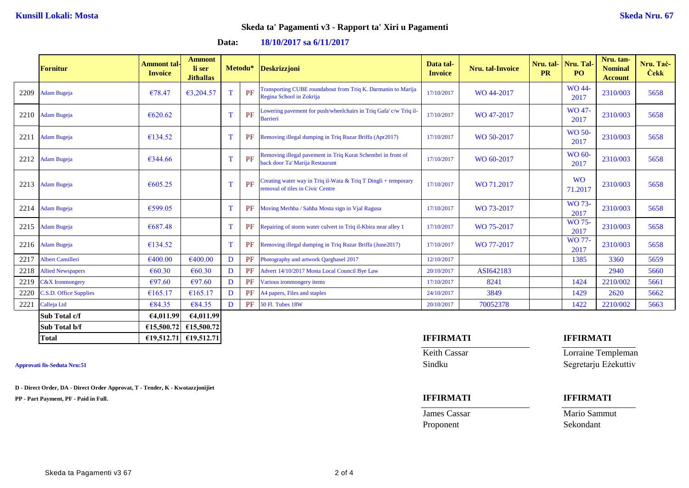**Data: 18/10/2017 sa 6/11/2017**

|      | <b>Fornitur</b>          | Ammont tal-<br><b>Invoice</b> | <b>Ammont</b><br>li ser<br><b>Jithallas</b> |             |    | Metodu* Deskrizzjoni                                                                               | Data tal-<br><b>Invoice</b> | <b>Nru.</b> tal-Invoice | Nru. tal-<br><b>PR</b> | Nru. Tal-<br>PO <sub>1</sub> | Nru. tan-<br><b>Nominal</b><br><b>Account</b> | Nru. Tač-<br><b>Cekk</b> |
|------|--------------------------|-------------------------------|---------------------------------------------|-------------|----|----------------------------------------------------------------------------------------------------|-----------------------------|-------------------------|------------------------|------------------------------|-----------------------------------------------|--------------------------|
| 2209 | <b>Adam Bugeja</b>       | €78.47                        | €3,204.57                                   | $\mathbf T$ | PF | Transporting CUBE roundabout from Triq K. Darmanin to Marija<br>Regina School in Zokrija           | 17/10/2017                  | WO 44-2017              |                        | WO 44-<br>2017               | 2310/003                                      | 5658                     |
| 2210 | <b>Adam Bugeja</b>       | €620.62                       |                                             | T           | PF | Lowering payement for push/wheelchairs in Triq Gafa' c/w Triq il-<br><b>Barrieri</b>               | 17/10/2017                  | WO 47-2017              |                        | WO 47-<br>2017               | 2310/003                                      | 5658                     |
| 2211 | <b>Adam Bugeja</b>       | €134.52                       |                                             | T           | PF | Removing illegal dumping in Triq Ruzar Briffa (Apr2017)                                            | 17/10/2017                  | WO 50-2017              |                        | <b>WO 50-</b><br>2017        | 2310/003                                      | 5658                     |
| 2212 | <b>Adam Bugeja</b>       | €344.66                       |                                             | T           | PF | Removing illegal pavement in Triq Kurat Schembri in front of<br>back door Ta' Marija Restaurant    | 17/10/2017                  | WO 60-2017              |                        | WO 60-<br>2017               | 2310/003                                      | 5658                     |
| 2213 | <b>Adam Bugeja</b>       | €605.25                       |                                             | T           | PF | Creating water way in Triq il-Wata & Triq T Dingli + temporary<br>removal of tiles in Civic Centre | 17/10/2017                  | WO 71.2017              |                        | <b>WO</b><br>71.2017         | 2310/003                                      | 5658                     |
| 2214 | <b>Adam Bugeja</b>       | €599.05                       |                                             | T           | PF | Moving Merhba / Sahha Mosta sign in Vjal Ragusa                                                    | 17/10/2017                  | WO 73-2017              |                        | WO 73-<br>2017               | 2310/003                                      | 5658                     |
| 2215 | <b>Adam Bugeja</b>       | €687.48                       |                                             | T           | PF | Repairing of storm water culvert in Triq il-Kbira near alley 1                                     | 17/10/2017                  | WO 75-2017              |                        | <b>WO 75-</b><br>2017        | 2310/003                                      | 5658                     |
| 2216 | <b>Adam Bugeja</b>       | €134.52                       |                                             | T           | PF | Removing illegal dumping in Triq Ruzar Briffa (June2017)                                           | 17/10/2017                  | WO 77-2017              |                        | WO 77-<br>2017               | 2310/003                                      | 5658                     |
| 2217 | <b>Albert Camilleri</b>  | €400.00                       | €400.00                                     | D           | PF | Photography and artwork Qarghasel 2017                                                             | 12/10/2017                  |                         |                        | 1385                         | 3360                                          | 5659                     |
| 2218 | <b>Allied Newspapers</b> | € $60.30$                     | €60.30                                      | D           | PF | Advert 14/10/2017 Mosta Local Council Bye Law                                                      | 20/10/2017                  | ASI642183               |                        |                              | 2940                                          | 5660                     |
| 2219 | $\sqrt{2X}$ Ironmongery  | €97.60                        | €97.60                                      | D           | PF | Various ironmongery items                                                                          | 17/10/2017                  | 8241                    |                        | 1424                         | 2210/002                                      | 5661                     |
| 2220 | C.S.D. Office Supplies   | €165.17                       | €165.17                                     | D           | PF | A4 papers, Files and staples                                                                       | 24/10/2017                  | 3849                    |                        | 1429                         | 2620                                          | 5662                     |
| 2221 | Calleja Ltd              | €84.35                        | €84.35                                      | D           | PF | <b>50 Fl. Tubes 18W</b>                                                                            | 20/10/2017                  | 70052378                |                        | 1422                         | 2210/002                                      | 5663                     |
|      | Sub Total c/f            | 64,011.99                     | 64,011.99                                   |             |    |                                                                                                    |                             |                         |                        |                              |                                               |                          |
|      | Sub Total b/f            |                               | $\epsilon$ 15,500.72 $\epsilon$ 15,500.72   |             |    |                                                                                                    |                             |                         |                        |                              |                                               |                          |

**D - Direct Order, DA - Direct Order Approvat, T - Tender, K - Kwotazzjonijiet**

**PP - Part Payment, PF - Paid in Full. IFFIRMATI IFFIRMATI**

Proponent Sekondant

# **Total €19,512.71 €19,512.71 IFFIRMATI IFFIRMATI**

Keith Cassar Lorraine Templeman **Approvati fis-Seduta Nru:51** Sindku Segretarju Eżekuttiv

**James Cassar Mario Sammut**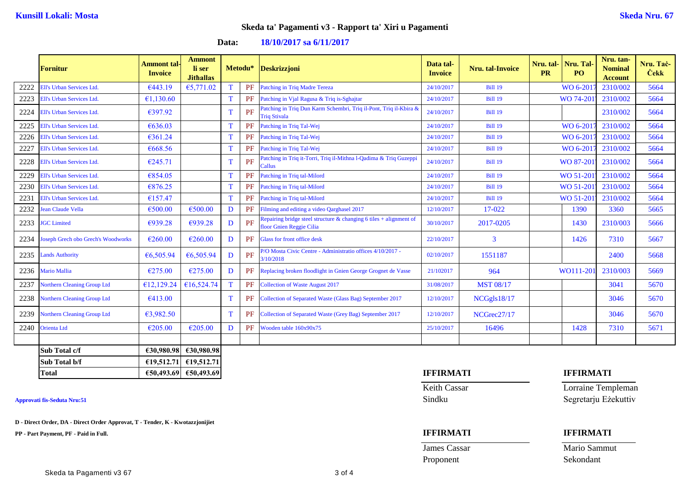## **Data: 18/10/2017 sa 6/11/2017**

|      | Fornitur                           | <b>Ammont tal-</b><br><b>Invoice</b> | <b>Ammont</b><br>li ser<br><b>Jithallas</b> |              | Metodu* | <b>Deskrizzjoni</b>                                                                               | Data tal-<br><b>Invoice</b> | <b>Nru.</b> tal-Invoice | <b>PR</b> | Nru. tal- Nru. Tal-<br>PO. | Nru. tan-<br><b>Nominal</b><br><b>Account</b> | Nru. Tač-<br><b>Cekk</b> |
|------|------------------------------------|--------------------------------------|---------------------------------------------|--------------|---------|---------------------------------------------------------------------------------------------------|-----------------------------|-------------------------|-----------|----------------------------|-----------------------------------------------|--------------------------|
| 2222 | Ell's Urban Services Ltd.          | €443.19                              | €5,771.02                                   |              | PF      | Patching in Triq Madre Tereza                                                                     | 24/10/2017                  | <b>Bill 19</b>          |           | WO 6-201                   | 2310/002                                      | 5664                     |
| 2223 | Ell's Urban Services Ltd.          | €1,130.60                            |                                             | T            | PF      | Patching in Vjal Ragusa & Triq is-Sghajtar                                                        | 24/10/2017                  | <b>Bill 19</b>          |           | WO 74-201                  | 2310/002                                      | 5664                     |
| 2224 | Ell's Urban Services Ltd.          | €397.92                              |                                             |              | PF      | Patching in Triq Dun Karm Schembri, Triq il-Pont, Triq il-Kbira &<br><b>Triq Stivala</b>          | 24/10/2017                  | <b>Bill 19</b>          |           |                            | 2310/002                                      | 5664                     |
| 2225 | Ell's Urban Services Ltd.          | €636.03                              |                                             | T            | PF      | Patching in Triq Tal-Wej                                                                          | 24/10/2017                  | <b>Bill 19</b>          |           | WO 6-201                   | 2310/002                                      | 5664                     |
| 2226 | Ell's Urban Services Ltd.          | €361.24                              |                                             | $\mathbf T$  | PF      | Patching in Triq Tal-Wej                                                                          | 24/10/2017                  | <b>Bill 19</b>          |           | WO 6-201                   | 2310/002                                      | 5664                     |
| 2227 | Ell's Urban Services Ltd.          | €668.56                              |                                             | T            | PF      | Patching in Triq Tal-Wej                                                                          | 24/10/2017                  | <b>Bill 19</b>          |           | WO 6-2017                  | 2310/002                                      | 5664                     |
| 2228 | Ell's Urban Services Ltd.          | €245.71                              |                                             | $\mathbf{T}$ | PF      | Patching in Triq it-Torri, Triq il-Mithna l-Qadima & Triq Guzeppi<br>Callus                       | 24/10/2017                  | <b>Bill 19</b>          |           | WO 87-201                  | 2310/002                                      | 5664                     |
| 2229 | Ell's Urban Services Ltd.          | €854.05                              |                                             | T            | PF      | Patching in Triq tal-Milord                                                                       | 24/10/2017                  | <b>Bill 19</b>          |           | WO 51-201                  | 2310/002                                      | 5664                     |
| 2230 | <b>Ell's Urban Services Ltd.</b>   | €876.25                              |                                             | T            | PF      | Patching in Triq tal-Milord                                                                       | 24/10/2017                  | <b>Bill 19</b>          |           | WO 51-201                  | 2310/002                                      | 5664                     |
| 2231 | Ell's Urban Services Ltd.          | €157.47                              |                                             | T            | PF      | Patching in Triq tal-Milord                                                                       | 24/10/2017                  | <b>Bill 19</b>          |           | WO 51-201                  | 2310/002                                      | 5664                     |
| 2232 | ean Claude Vella                   | €500.00                              | €500.00                                     | $\mathbf{D}$ | PF      | Filming and editing a video Qarghasel 2017                                                        | 12/10/2017                  | 17-022                  |           | 1390                       | 3360                                          | 5665                     |
| 2233 | <b>JGC</b> Limited                 | €939.28                              | €939.28                                     | D            | PF      | Repairing bridge steel structure $\&$ changing 6 tiles + alignment of<br>floor Gnien Reggie Cilia | 30/10/2017                  | 2017-0205               |           | 1430                       | 2310/003                                      | 5666                     |
| 2234 | oseph Grech obo Grech's Woodworks  | €260.00                              | €260.00                                     | D            | PF      | Glass for front office desk                                                                       | 22/10/2017                  | 3                       |           | 1426                       | 7310                                          | 5667                     |
| 2235 | ands Authority                     | €6,505.94                            | €6,505.94                                   | D            | PF      | P/O Mosta Civic Centre - Administratio offices 4/10/2017 -<br>3/10/2018                           | 02/10/2017                  | 1551187                 |           |                            | 2400                                          | 5668                     |
| 2236 | Mario Mallia                       | €275.00                              | €275.00                                     | D            | PF      | Replacing broken floodlight in Gnien George Grognet de Vasse                                      | 21/102017                   | 964                     |           | WO111-201                  | 2310/003                                      | 5669                     |
| 2237 | <b>Northern Cleaning Group Ltd</b> | €12,129.24                           | €16,524.74                                  | T            | PF      | <b>Collection of Waste August 2017</b>                                                            | 31/08/2017                  | <b>MST 08/17</b>        |           |                            | 3041                                          | 5670                     |
| 2238 | Northern Cleaning Group Ltd        | €413.00                              |                                             | T            | PF      | Collection of Separated Waste (Glass Bag) September 2017                                          | 12/10/2017                  | NCGgls18/17             |           |                            | 3046                                          | 5670                     |
| 2239 | Northern Cleaning Group Ltd        | €3,982.50                            |                                             | $\mathbf T$  | PF      | Collection of Separated Waste (Grey Bag) September 2017                                           | 12/10/2017                  | NCGrec27/17             |           |                            | 3046                                          | 5670                     |
| 2240 | Orienta Ltd                        | €205.00                              | €205.00                                     | D            | PF      | Wooden table 160x90x75                                                                            | 25/10/2017                  | 16496                   |           | 1428                       | 7310                                          | 5671                     |
|      |                                    |                                      |                                             |              |         |                                                                                                   |                             |                         |           |                            |                                               |                          |
|      | Sub Total c/f                      | €30,980.98                           | €30,980.98                                  |              |         |                                                                                                   |                             |                         |           |                            |                                               |                          |
|      | Sub Total b/f                      |                                      | $£19,512.71$ $£19,512.71$                   |              |         |                                                                                                   |                             |                         |           |                            |                                               |                          |

**D - Direct Order, DA - Direct Order Approvat, T - Tender, K - Kwotazzjonijiet**

**PP - Part Payment, PF - Paid in Full. IFFIRMATI IFFIRMATI**

## **Total €50,493.69 €50,493.69 IFFIRMATI IFFIRMATI**

**James Cassar Mario Sammut** Proponent Sekondant

Keith Cassar Lorraine Templeman **Approvati fis-Seduta Nru:51** Sindku Segretarju Eżekuttiv